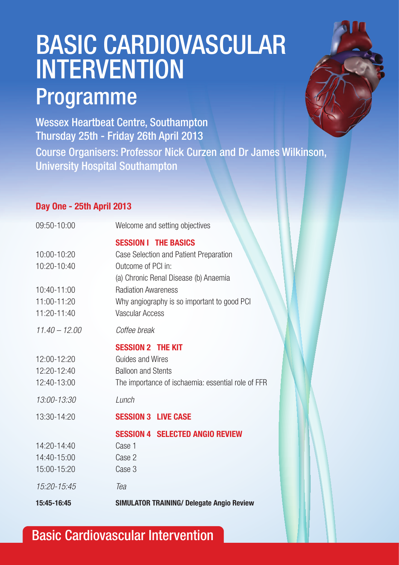## BASIC CARDIOVASCULAR INTERVENTION Programme

Wessex Heartbeat Centre, Southampton Thursday 25th - Friday 26th April 2013 Course Organisers: Professor Nick Curzen and Dr James Wilkinson, University Hospital Southampton

#### **Day One - 25th April 2013**

| 09:50-10:00     | Welcome and setting objectives                     |
|-----------------|----------------------------------------------------|
|                 | <b>SESSION I THE BASICS</b>                        |
| 10:00-10:20     | Case Selection and Patient Preparation             |
| 10:20-10:40     | Outcome of PCI in:                                 |
|                 | (a) Chronic Renal Disease (b) Anaemia              |
| 10:40-11:00     | <b>Radiation Awareness</b>                         |
| 11:00-11:20     | Why angiography is so important to good PCI        |
| 11:20-11:40     | <b>Vascular Access</b>                             |
| $11.40 - 12.00$ | Coffee break                                       |
|                 | <b>SESSION 2 THE KIT</b>                           |
| 12:00-12:20     | Guides and Wires                                   |
| 12:20-12:40     | <b>Balloon and Stents</b>                          |
| 12:40-13:00     | The importance of ischaemia: essential role of FFR |
| 13:00-13:30     | Lunch                                              |
| 13:30-14:20     | <b>SESSION 3 LIVE CASE</b>                         |
|                 | <b>SESSION 4 SELECTED ANGIO REVIEW</b>             |
| 14:20-14:40     | Case 1                                             |
| 14:40-15:00     | Case 2                                             |
| 15:00-15:20     | Case 3                                             |
| 15:20-15:45     | Tea                                                |
| 15:45-16:45     | <b>SIMULATOR TRAINING/ Delegate Angio Review</b>   |

### Basic Cardiovascular Intervention